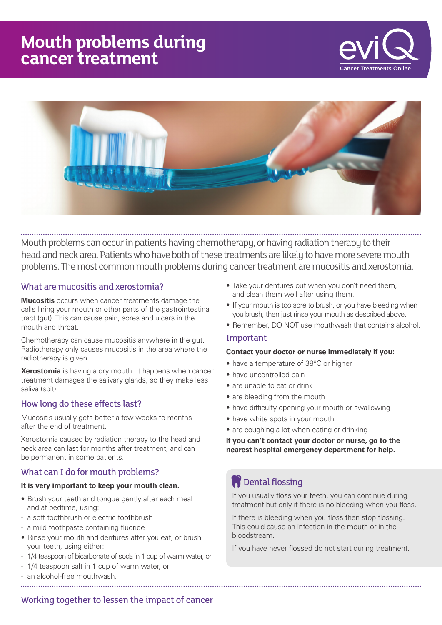# **Mouth problems during cancer treatment**





Mouth problems can occur in patients having chemotherapy, or having radiation therapy to their head and neck area. Patients who have both of these treatments are likely to have more severe mouth problems. The most common mouth problems during cancer treatment are mucositis and xerostomia.

### What are mucositis and xerostomia?

**Mucositis** occurs when cancer treatments damage the cells lining your mouth or other parts of the gastrointestinal tract (gut). This can cause pain, sores and ulcers in the mouth and throat.

Chemotherapy can cause mucositis anywhere in the gut. Radiotherapy only causes mucositis in the area where the radiotherapy is given.

**Xerostomia** is having a dry mouth. It happens when cancer treatment damages the salivary glands, so they make less saliva (spit).

#### How long do these effects last?

Mucositis usually gets better a few weeks to months after the end of treatment.

Xerostomia caused by radiation therapy to the head and neck area can last for months after treatment, and can be permanent in some patients.

#### What can I do for mouth problems?

#### **It is very important to keep your mouth clean.**

- Brush your teeth and tongue gently after each meal and at bedtime, using:
- a soft toothbrush or electric toothbrush
- a mild toothpaste containing fluoride
- Rinse your mouth and dentures after you eat, or brush your teeth, using either:
- 1/4 teaspoon of bicarbonate of soda in 1 cup of warm water, or
- 1/4 teaspoon salt in 1 cup of warm water, or
- an alcohol-free mouthwash.
- Take your dentures out when you don't need them, and clean them well after using them.
- If your mouth is too sore to brush, or you have bleeding when you brush, then just rinse your mouth as described above.
- Remember, DO NOT use mouthwash that contains alcohol.

#### Important

#### **Contact your doctor or nurse immediately if you:**

- have a temperature of 38°C or higher
- have uncontrolled pain
- are unable to eat or drink
- are bleeding from the mouth
- have difficulty opening your mouth or swallowing
- have white spots in your mouth
- are coughing a lot when eating or drinking

**If you can't contact your doctor or nurse, go to the nearest hospital emergency department for help.**

# **Dental flossing**

If you usually floss your teeth, you can continue during treatment but only if there is no bleeding when you floss.

If there is bleeding when you floss then stop flossing. This could cause an infection in the mouth or in the bloodstream.

If you have never flossed do not start during treatment.

Working together to lessen the impact of cancer